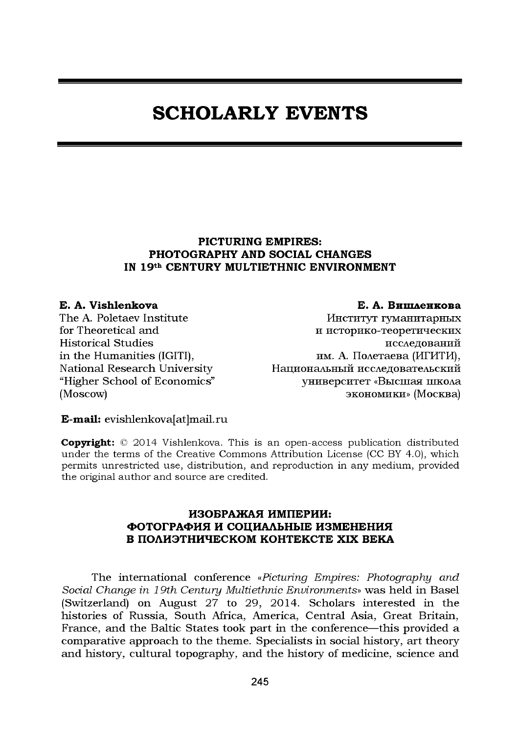# **SCHOLARLY EVENTS**

## **PICTURING EMPIRES: PHOTOGRAPHY AND SOCIAL CHANGES IN 19th CENTURY MULTIETHNIC ENVIRONMENT**

### **E. A. Vishlenkova**

The A. Poletaev Institute for Theoretical and Historical Studies in the Humanities (IGITI), National Research University "Higher School of Economics" (Moscow)

### **Е. А. Вишленкова**

Институт гуманитарных и историко-теоретических исследований им. А. Полетаева (ИГИТИ), Национальный исследовательский университет «Высшая школа экономики» (Москва)

#### **E-mail:** evishlenkova[at]mail.ru

**Copyright:** © 2014 Vishlenkova. This is an open-access publication distributed under the terms of the [Creative Commons Attribution License](http://creativecommons.org/licenses/by/4.0/) (CC BY 4.0), which permits unrestricted use, distribution, and reproduction in any medium, provided the original author and source are credited.

### **ИЗОБРАЖАЯ ИМПЕРИИ: ФОТОГРАФИЯ И СОЦИАЛЬНЫЕ ИЗМЕНЕНИЯ В ПОЛИЭТНИЧЕСКОМ КОНТЕКСТЕ XIX ВЕКА**

The international conference *«Picturing Empires: Photography and Social Change in 19th Century Multiethnic Environments*» was held in Basel (Switzerland) on August 27 to 29, 2014. Scholars interested in the histories of Russia, South Africa, America, Central Asia, Great Britain, France, and the Baltic States took part in the conference—this provided a comparative approach to the theme. Specialists in social history, art theory and history, cultural topography, and the history of medicine, science and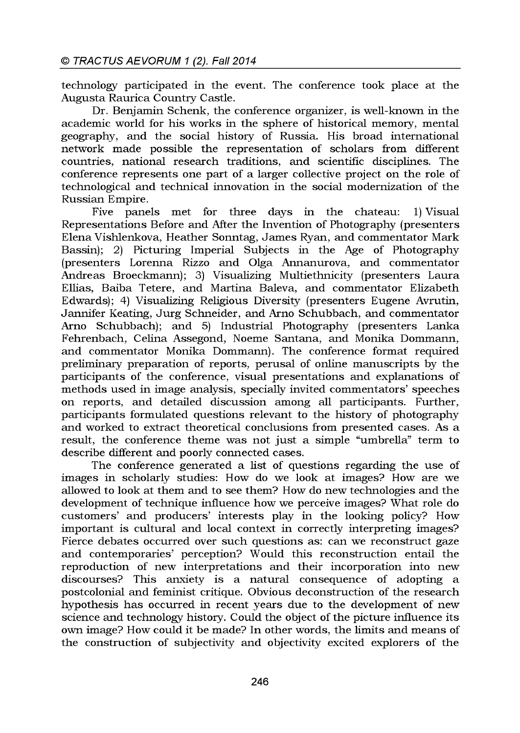technology participated in the event. The conference took place at the Augusta Raurica Country Castle.

Dr. Benjamin Schenk, the conference organizer, is well-known in the academic world for his works in the sphere of historical memory, mental geography, and the social history of Russia. His broad international network made possible the representation of scholars from different countries, national research traditions, and scientific disciplines. The conference represents one part of a larger collective project on the role of technological and technical innovation in the social modernization of the Russian Empire.

Five panels met for three days in the chateau: 1) Visual Representations Before and After the Invention of Photography (presenters Elena Vishlenkova, Heather Sonntag, James Ryan, and commentator Mark Bassin); 2) Picturing Imperial Subjects in the Age of Photography (presenters Lorenna Rizzo and Olga Annanurova, and commentator Andreas Broeckmann); 3) Visualizing Multiethnicity (presenters Laura Ellias, Baiba Tetere, and Martina Baleva, and commentator Elizabeth Edwards); 4) Visualizing Religious Diversity (presenters Eugene Avrutin, Jannifer Keating, Jurg Schneider, and Arno Schubbach, and commentator Arno Schubbach); and 5) Industrial Photography (presenters Lanka Fehrenbach, Celina Assegond, Noeme Santana, and Monika Dommann, and commentator Monika Dommann). The conference format required preliminary preparation of reports, perusal of online manuscripts by the participants of the conference, visual presentations and explanations of methods used in image analysis, specially invited commentators' speeches on reports, and detailed discussion among all participants. Further, participants formulated questions relevant to the history of photography and worked to extract theoretical conclusions from presented cases. As a result, the conference theme was not just a simple "umbrella" term to describe different and poorly connected cases.

The conference generated a list of questions regarding the use of images in scholarly studies: How do we look at images? How are we allowed to look at them and to see them? How do new technologies and the development of technique influence how we perceive images? What role do customers' and producers' interests play in the looking policy? How important is cultural and local context in correctly interpreting images? Fierce debates occurred over such questions as: can we reconstruct gaze and contemporaries' perception? Would this reconstruction entail the reproduction of new interpretations and their incorporation into new discourses? This anxiety is a natural consequence of adopting a postcolonial and feminist critique. Obvious deconstruction of the research hypothesis has occurred in recent years due to the development of new science and technology history. Could the object of the picture influence its own image? How could it be made? In other words, the limits and means of the construction of subjectivity and objectivity excited explorers of the